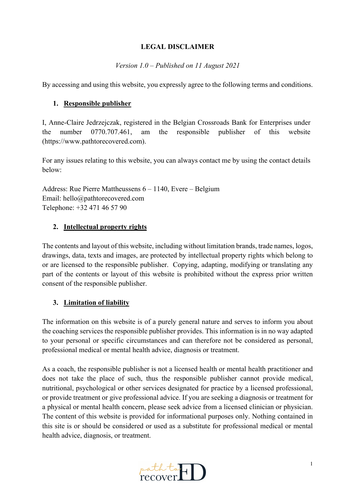#### **LEGAL DISCLAIMER**

*Version 1.0 – Published on 11 August 2021*

By accessing and using this website, you expressly agree to the following terms and conditions.

#### **1. Responsible publisher**

I, Anne-Claire Jedrzejczak, registered in the Belgian Crossroads Bank for Enterprises under the number 0770.707.461, am the responsible publisher of this website (https://www.pathtorecovered.com).

For any issues relating to this website, you can always contact me by using the contact details below:

Address: Rue Pierre Mattheussens 6 – 1140, Evere – Belgium Email: hello@pathtorecovered.com Telephone: +32 471 46 57 90

## **2. Intellectual property rights**

The contents and layout of this website, including without limitation brands, trade names, logos, drawings, data, texts and images, are protected by intellectual property rights which belong to or are licensed to the responsible publisher. Copying, adapting, modifying or translating any part of the contents or layout of this website is prohibited without the express prior written consent of the responsible publisher.

## **3. Limitation of liability**

The information on this website is of a purely general nature and serves to inform you about the coaching services the responsible publisher provides. This information is in no way adapted to your personal or specific circumstances and can therefore not be considered as personal, professional medical or mental health advice, diagnosis or treatment.

As a coach, the responsible publisher is not a licensed health or mental health practitioner and does not take the place of such, thus the responsible publisher cannot provide medical, nutritional, psychological or other services designated for practice by a licensed professional, or provide treatment or give professional advice. If you are seeking a diagnosis or treatment for a physical or mental health concern, please seek advice from a licensed clinician or physician. The content of this website is provided for informational purposes only. Nothing contained in this site is or should be considered or used as a substitute for professional medical or mental health advice, diagnosis, or treatment.